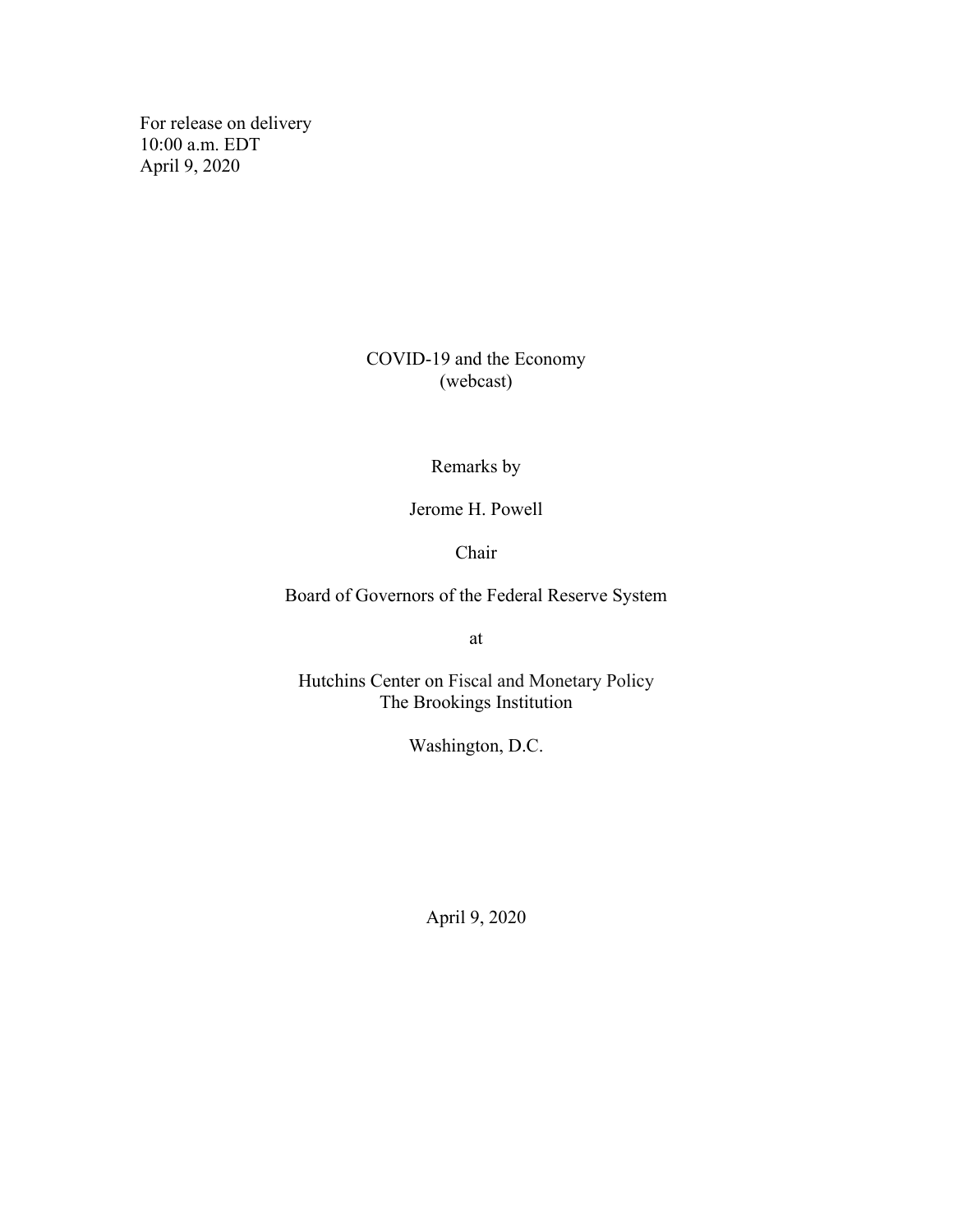For release on delivery 10:00 a.m. EDT April 9, 2020

> COVID-19 and the Economy (webcast)

> > Remarks by

Jerome H. Powell

Chair

Board of Governors of the Federal Reserve System

at

Hutchins Center on Fiscal and Monetary Policy The Brookings Institution

Washington, D.C.

April 9, 2020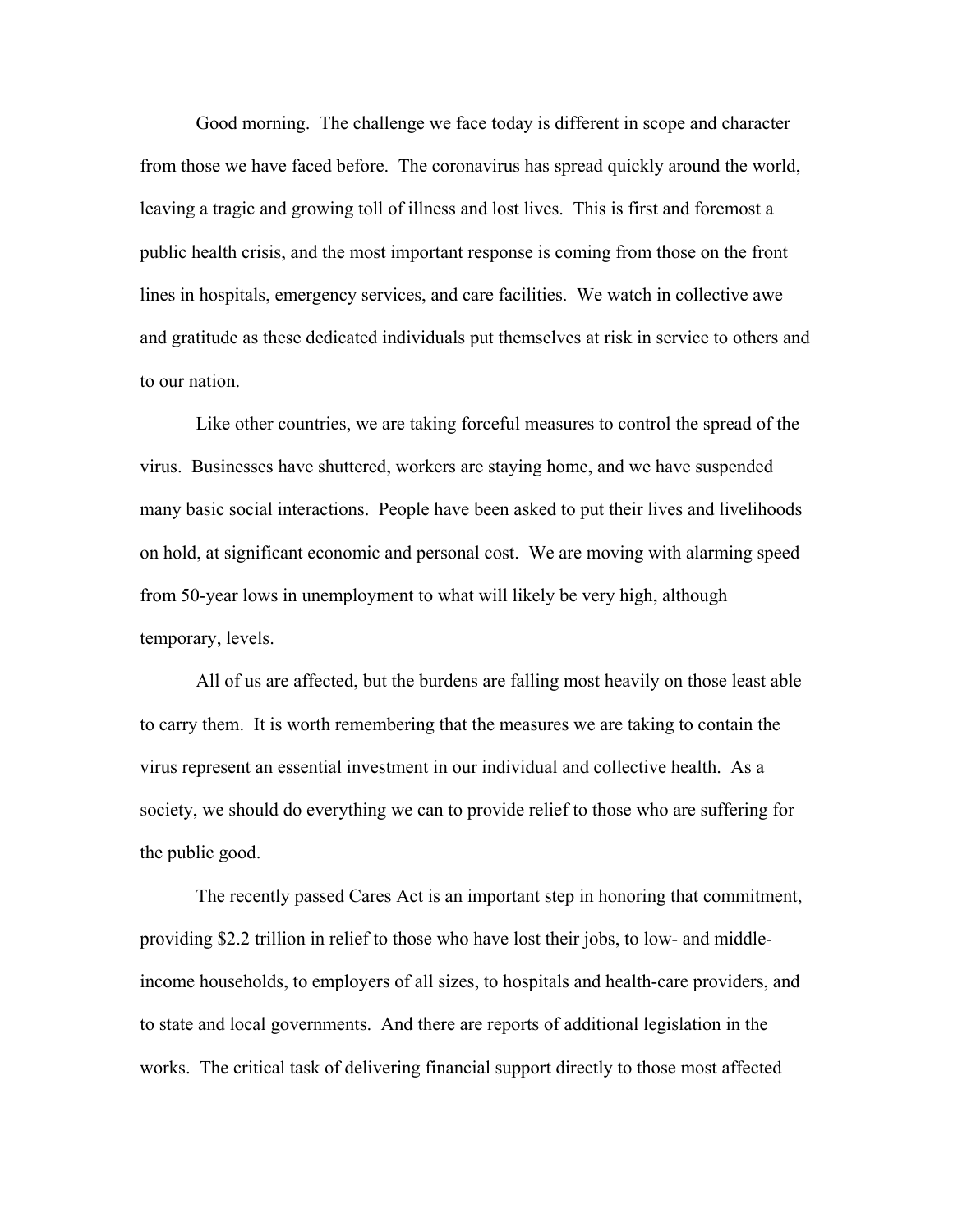Good morning. The challenge we face today is different in scope and character from those we have faced before. The coronavirus has spread quickly around the world, leaving a tragic and growing toll of illness and lost lives. This is first and foremost a public health crisis, and the most important response is coming from those on the front lines in hospitals, emergency services, and care facilities. We watch in collective awe and gratitude as these dedicated individuals put themselves at risk in service to others and to our nation.

Like other countries, we are taking forceful measures to control the spread of the virus. Businesses have shuttered, workers are staying home, and we have suspended many basic social interactions. People have been asked to put their lives and livelihoods on hold, at significant economic and personal cost. We are moving with alarming speed from 50-year lows in unemployment to what will likely be very high, although temporary, levels.

All of us are affected, but the burdens are falling most heavily on those least able to carry them. It is worth remembering that the measures we are taking to contain the virus represent an essential investment in our individual and collective health. As a society, we should do everything we can to provide relief to those who are suffering for the public good.

The recently passed Cares Act is an important step in honoring that commitment, providing \$2.2 trillion in relief to those who have lost their jobs, to low- and middleincome households, to employers of all sizes, to hospitals and health-care providers, and to state and local governments. And there are reports of additional legislation in the works. The critical task of delivering financial support directly to those most affected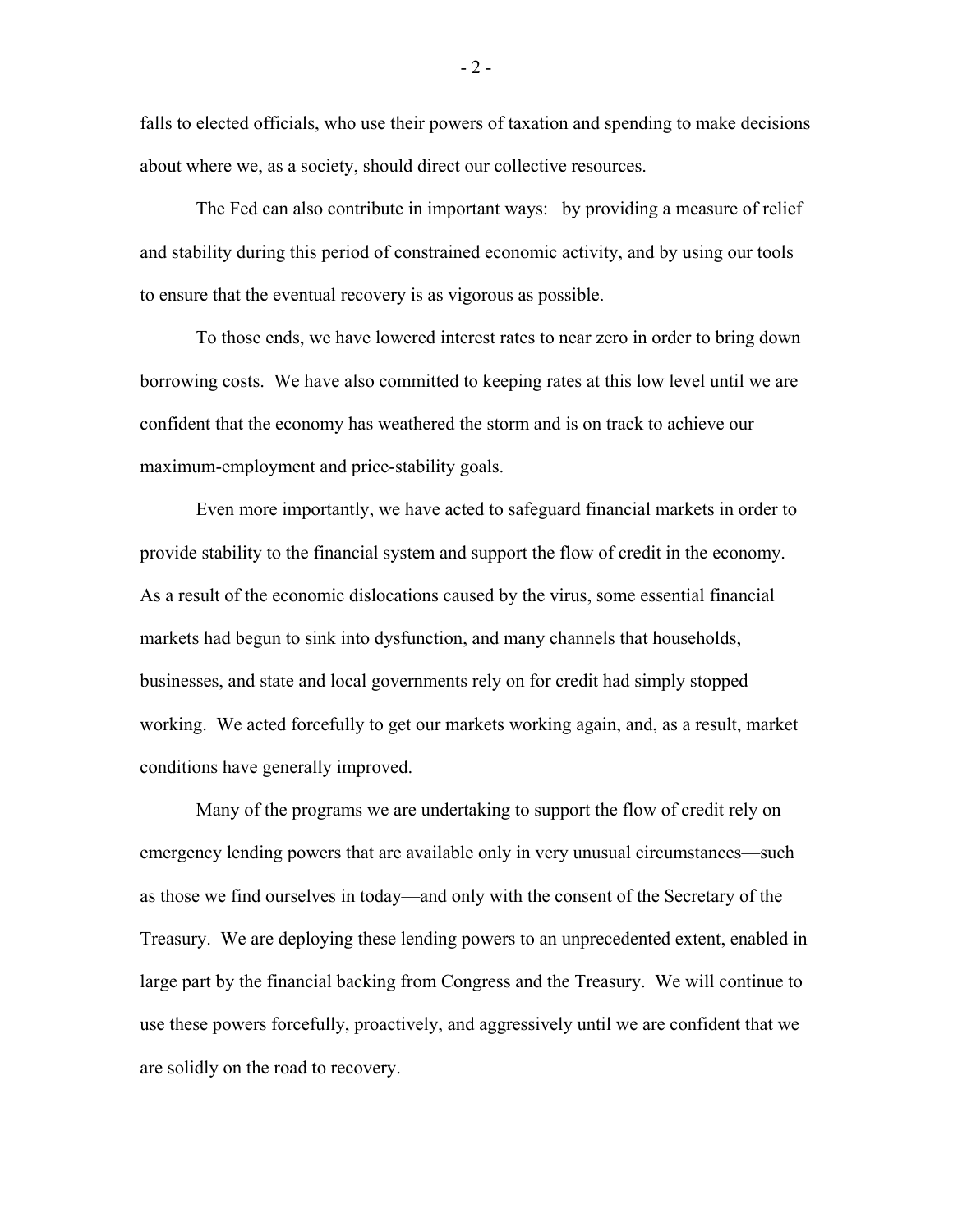falls to elected officials, who use their powers of taxation and spending to make decisions about where we, as a society, should direct our collective resources.

The Fed can also contribute in important ways: by providing a measure of relief and stability during this period of constrained economic activity, and by using our tools to ensure that the eventual recovery is as vigorous as possible.

To those ends, we have lowered interest rates to near zero in order to bring down borrowing costs. We have also committed to keeping rates at this low level until we are confident that the economy has weathered the storm and is on track to achieve our maximum-employment and price-stability goals.

Even more importantly, we have acted to safeguard financial markets in order to provide stability to the financial system and support the flow of credit in the economy. As a result of the economic dislocations caused by the virus, some essential financial markets had begun to sink into dysfunction, and many channels that households, businesses, and state and local governments rely on for credit had simply stopped working. We acted forcefully to get our markets working again, and, as a result, market conditions have generally improved.

Many of the programs we are undertaking to support the flow of credit rely on emergency lending powers that are available only in very unusual circumstances—such as those we find ourselves in today—and only with the consent of the Secretary of the Treasury. We are deploying these lending powers to an unprecedented extent, enabled in large part by the financial backing from Congress and the Treasury. We will continue to use these powers forcefully, proactively, and aggressively until we are confident that we are solidly on the road to recovery.

- 2 -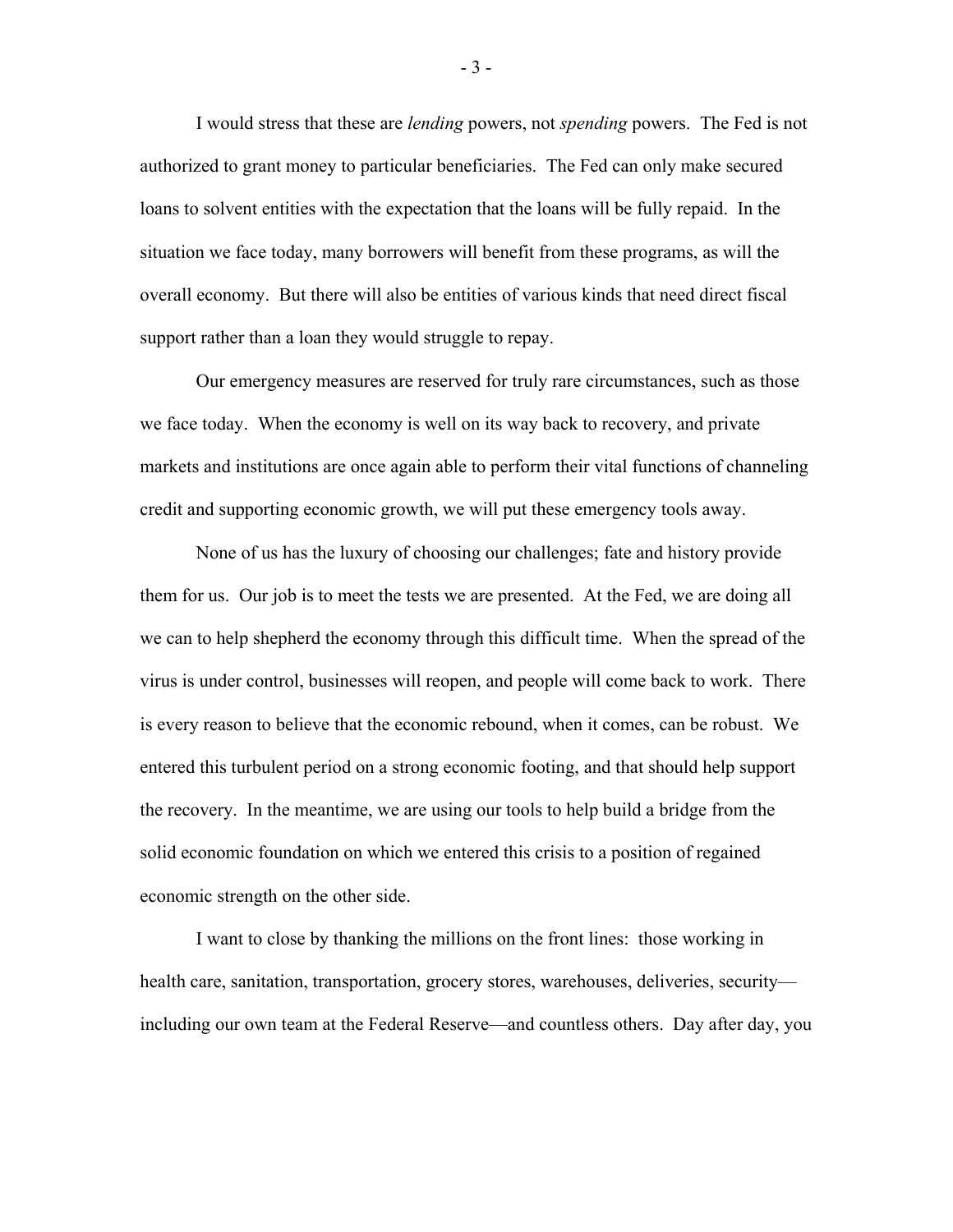I would stress that these are *lending* powers, not *spending* powers. The Fed is not authorized to grant money to particular beneficiaries. The Fed can only make secured loans to solvent entities with the expectation that the loans will be fully repaid. In the situation we face today, many borrowers will benefit from these programs, as will the overall economy. But there will also be entities of various kinds that need direct fiscal support rather than a loan they would struggle to repay.

Our emergency measures are reserved for truly rare circumstances, such as those we face today. When the economy is well on its way back to recovery, and private markets and institutions are once again able to perform their vital functions of channeling credit and supporting economic growth, we will put these emergency tools away.

None of us has the luxury of choosing our challenges; fate and history provide them for us. Our job is to meet the tests we are presented. At the Fed, we are doing all we can to help shepherd the economy through this difficult time. When the spread of the virus is under control, businesses will reopen, and people will come back to work. There is every reason to believe that the economic rebound, when it comes, can be robust. We entered this turbulent period on a strong economic footing, and that should help support the recovery. In the meantime, we are using our tools to help build a bridge from the solid economic foundation on which we entered this crisis to a position of regained economic strength on the other side.

I want to close by thanking the millions on the front lines: those working in health care, sanitation, transportation, grocery stores, warehouses, deliveries, security including our own team at the Federal Reserve—and countless others. Day after day, you

- 3 -